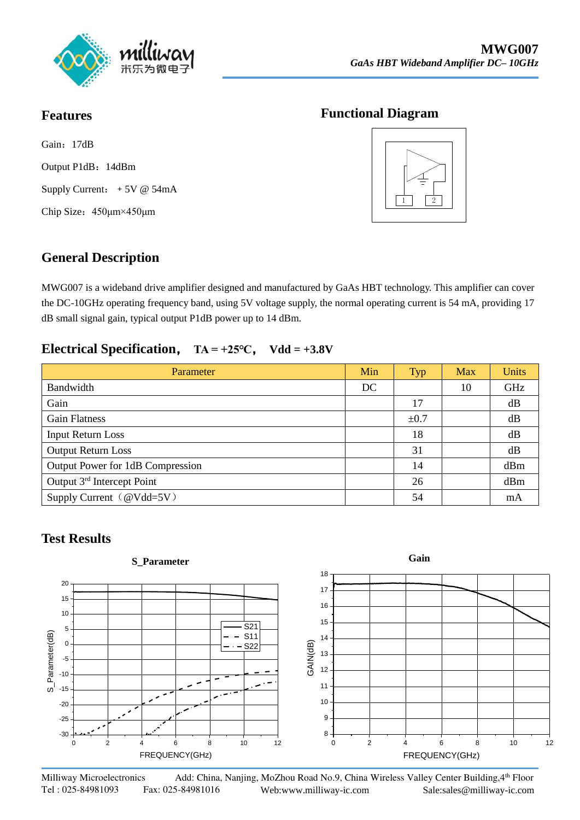

#### **Features**

Gain: 17dB Output P1dB:14dBm Supply Current: +5V @ 54mA Chip Size:450μm×450μm

#### **Functional Diagram**



## **General Description**

MWG007 is a wideband drive amplifier designed and manufactured by GaAs HBT technology. This amplifier can cover the DC-10GHz operating frequency band, using 5V voltage supply, the normal operating current is 54 mA, providing 17 dB small signal gain, typical output P1dB power up to 14 dBm.

#### **Electrical Specification**, **TA = +25℃**, **Vdd = +3.8V**

| Parameter                              | Min | <b>Typ</b> | Max | <b>Units</b> |
|----------------------------------------|-----|------------|-----|--------------|
| Bandwidth                              | DC  |            | 10  | GHz          |
| Gain                                   |     | 17         |     | dB           |
| <b>Gain Flatness</b>                   |     | $\pm 0.7$  |     | dB           |
| <b>Input Return Loss</b>               |     | 18         |     | dB           |
| <b>Output Return Loss</b>              |     | 31         |     | dB           |
| Output Power for 1dB Compression       |     | 14         |     | dBm          |
| Output 3 <sup>rd</sup> Intercept Point |     | 26         |     | dBm          |
| Supply Current (@Vdd=5V)               |     | 54         |     | mA           |

## **Test Results**

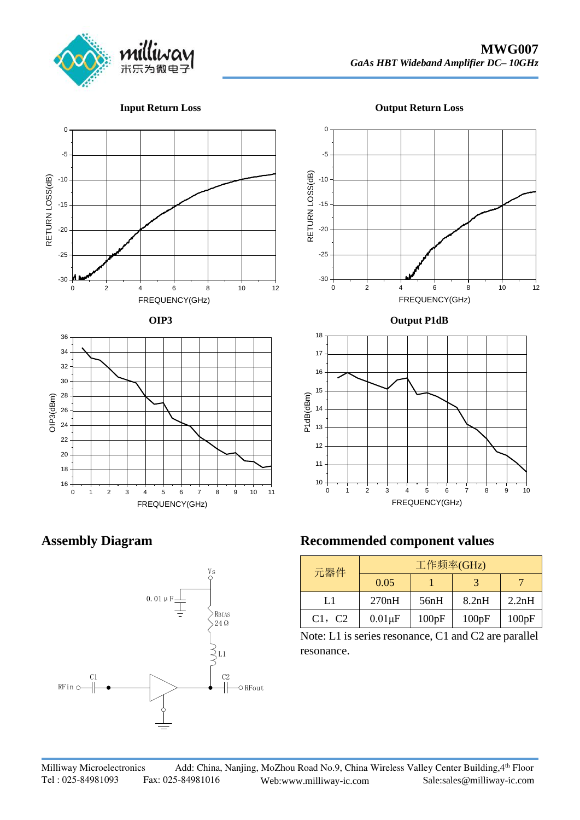

**Input Return Loss**

**Output Return Loss**





#### **Assembly Diagram**



## **Recommended component values**

| 元器件    | 工作频率(GHz)    |       |       |       |  |
|--------|--------------|-------|-------|-------|--|
|        | 0.05         |       |       |       |  |
| L1     | 270nH        | 56nH  | 8.2nH | 2.2nH |  |
| C1, C2 | $0.01 \mu F$ | 100pF | 100pF | 100pF |  |

Note: L1 is series resonance, C1 and C2 are parallel resonance.